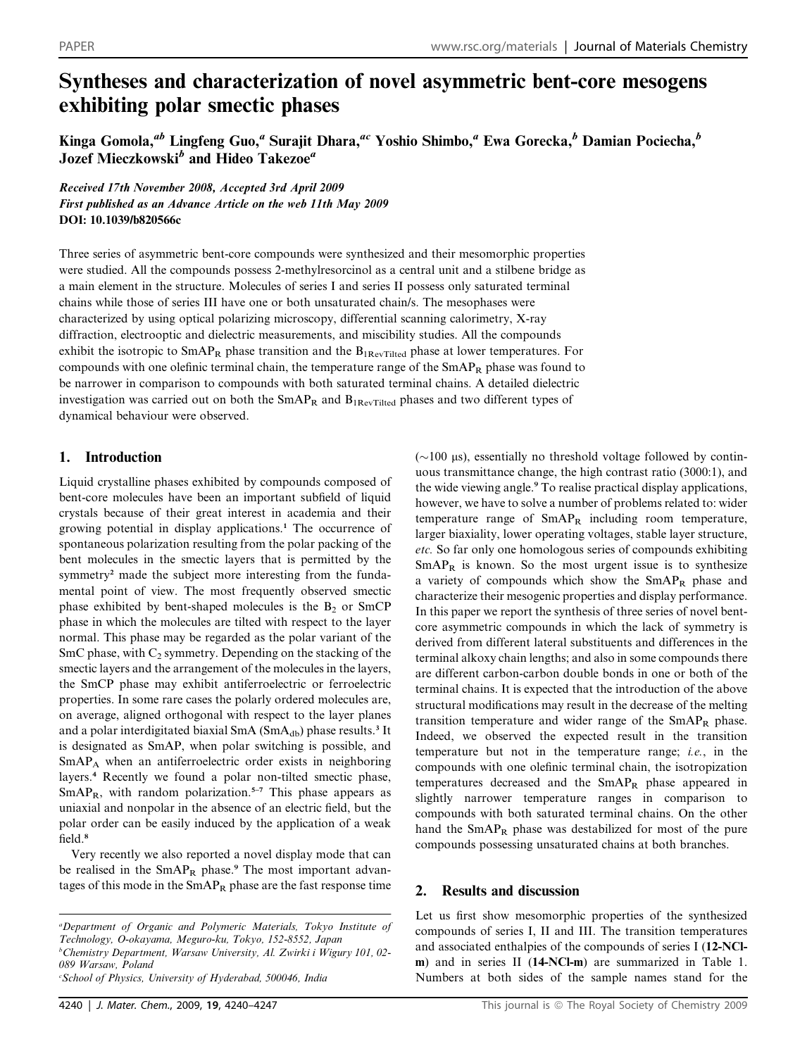# Syntheses and characterization of novel asymmetric bent-core mesogens exhibiting polar smectic phases

Kinga Gomola,<sup>ab</sup> Lingfeng Guo,<sup>a</sup> Surajit Dhara,<sup>ac</sup> Yoshio Shimbo,<sup>a</sup> Ewa Gorecka,<sup>b</sup> Damian Pociecha,<sup>b</sup> Jozef Mieczkowski<sup>b</sup> and Hideo Takezoe<sup>a</sup>

Received 17th November 2008, Accepted 3rd April 2009 First published as an Advance Article on the web 11th May 2009 DOI: 10.1039/b820566c

Three series of asymmetric bent-core compounds were synthesized and their mesomorphic properties were studied. All the compounds possess 2-methylresorcinol as a central unit and a stilbene bridge as a main element in the structure. Molecules of series I and series II possess only saturated terminal chains while those of series III have one or both unsaturated chain/s. The mesophases were characterized by using optical polarizing microscopy, differential scanning calorimetry, X-ray diffraction, electrooptic and dielectric measurements, and miscibility studies. All the compounds exhibit the isotropic to  $SmAP_R$  phase transition and the  $B_{IRevTilted}$  phase at lower temperatures. For compounds with one olefinic terminal chain, the temperature range of the  $SmAP_R$  phase was found to be narrower in comparison to compounds with both saturated terminal chains. A detailed dielectric investigation was carried out on both the  $SmAP_R$  and  $B_{1RevTitted}}$  phases and two different types of dynamical behaviour were observed.

# 1. Introduction

Liquid crystalline phases exhibited by compounds composed of bent-core molecules have been an important subfield of liquid crystals because of their great interest in academia and their growing potential in display applications.<sup>1</sup> The occurrence of spontaneous polarization resulting from the polar packing of the bent molecules in the smectic layers that is permitted by the symmetry<sup>2</sup> made the subject more interesting from the fundamental point of view. The most frequently observed smectic phase exhibited by bent-shaped molecules is the  $B_2$  or SmCP phase in which the molecules are tilted with respect to the layer normal. This phase may be regarded as the polar variant of the SmC phase, with  $C_2$  symmetry. Depending on the stacking of the smectic layers and the arrangement of the molecules in the layers, the SmCP phase may exhibit antiferroelectric or ferroelectric properties. In some rare cases the polarly ordered molecules are, on average, aligned orthogonal with respect to the layer planes and a polar interdigitated biaxial SmA  $(SmA<sub>db</sub>)$  phase results.<sup>3</sup> It is designated as SmAP, when polar switching is possible, and SmAPA when an antiferroelectric order exists in neighboring layers.<sup>4</sup> Recently we found a polar non-tilted smectic phase,  $SmAP<sub>R</sub>$ , with random polarization.<sup>5-7</sup> This phase appears as uniaxial and nonpolar in the absence of an electric field, but the polar order can be easily induced by the application of a weak field.<sup>8</sup>

Very recently we also reported a novel display mode that can be realised in the  $SmAP_R$  phase.<sup>9</sup> The most important advantages of this mode in the  $SmAP_R$  phase are the fast response time

 $(\sim]100 \text{ }\mu\text{s})$ , essentially no threshold voltage followed by continuous transmittance change, the high contrast ratio (3000:1), and the wide viewing angle.<sup>9</sup> To realise practical display applications, however, we have to solve a number of problems related to: wider temperature range of SmAPR including room temperature, larger biaxiality, lower operating voltages, stable layer structure, etc. So far only one homologous series of compounds exhibiting  $SmAP<sub>R</sub>$  is known. So the most urgent issue is to synthesize a variety of compounds which show the SmAPR phase and characterize their mesogenic properties and display performance. In this paper we report the synthesis of three series of novel bentcore asymmetric compounds in which the lack of symmetry is derived from different lateral substituents and differences in the terminal alkoxy chain lengths; and also in some compounds there are different carbon-carbon double bonds in one or both of the terminal chains. It is expected that the introduction of the above structural modifications may result in the decrease of the melting transition temperature and wider range of the  $SmAP_R$  phase. Indeed, we observed the expected result in the transition temperature but not in the temperature range; i.e., in the compounds with one olefinic terminal chain, the isotropization temperatures decreased and the SmAPR phase appeared in slightly narrower temperature ranges in comparison to compounds with both saturated terminal chains. On the other hand the  $SmAP_R$  phase was destabilized for most of the pure compounds possessing unsaturated chains at both branches.

# 2. Results and discussion

Let us first show mesomorphic properties of the synthesized compounds of series I, II and III. The transition temperatures and associated enthalpies of the compounds of series I (12-NClm) and in series II (14-NCl-m) are summarized in Table 1. Numbers at both sides of the sample names stand for the

a Department of Organic and Polymeric Materials, Tokyo Institute of Technology, O-okayama, Meguro-ku, Tokyo, 152-8552, Japan b Chemistry Department, Warsaw University, Al. Zwirki i Wigury 101, 02- 089 Warsaw, Poland c School of Physics, University of Hyderabad, 500046, India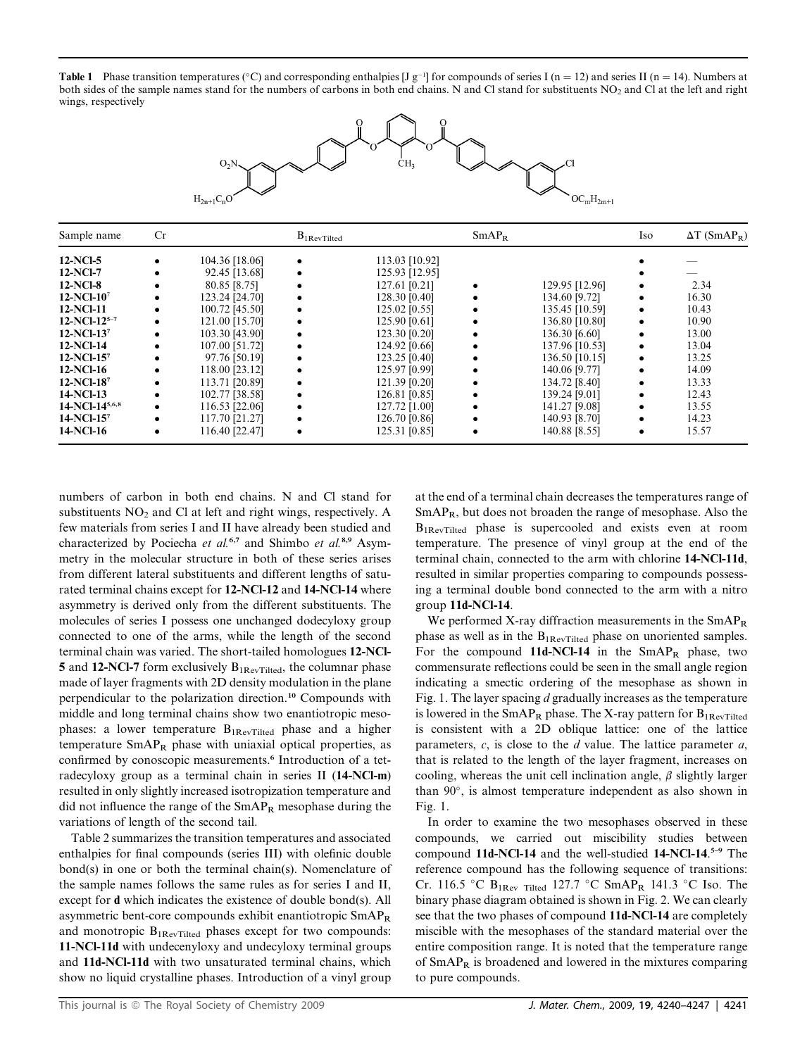**Table 1** Phase transition temperatures (°C) and corresponding enthalpies [J g<sup>-1</sup>] for compounds of series I (n = 12) and series II (n = 14). Numbers at both sides of the sample names stand for the numbers of carbons in both end chains. N and Cl stand for substituents NO<sub>2</sub> and Cl at the left and right wings, respectively



| Sample name       | Cr |                | $B_{1\mathrm{RevTilted}}$ |                | SmAP <sub>R</sub> |                | Iso | $\Delta T$ (SmAP <sub>R</sub> ) |
|-------------------|----|----------------|---------------------------|----------------|-------------------|----------------|-----|---------------------------------|
| 12-NCl-5          |    | 104.36 [18.06] |                           | 113.03 [10.92] |                   |                |     |                                 |
| 12-NCl-7          |    | 92.45 [13.68]  |                           | 125.93 [12.95] |                   |                |     |                                 |
| 12-NCl-8          |    | 80.85 [8.75]   |                           | 127.61 [0.21]  |                   | 129.95 [12.96] |     | 2.34                            |
| 12-NCl-107        |    | 123.24 [24.70] |                           | 128.30 [0.40]  |                   | 134.60 [9.72]  |     | 16.30                           |
| 12-NCl-11         |    | 100.72 [45.50] |                           | 125.02 [0.55]  |                   | 135.45 [10.59] |     | 10.43                           |
| $12-NCl-12^{5-7}$ |    | 121.00 [15.70] |                           | 125.90 [0.61]  |                   | 136.80 [10.80] |     | 10.90                           |
| 12-NCl-137        |    | 103.30 [43.90] |                           | 123.30 [0.20]  |                   | 136.30 [6.60]  |     | 13.00                           |
| 12-NCl-14         |    | 107.00 [51.72] |                           | 124.92 [0.66]  |                   | 137.96 [10.53] |     | 13.04                           |
| 12-NCl-157        |    | 97.76 [50.19]  |                           | 123.25 [0.40]  |                   | 136.50 [10.15] |     | 13.25                           |
| 12-NCl-16         |    | 118.00 [23.12] |                           | 125.97 [0.99]  | ٠                 | 140.06 [9.77]  |     | 14.09                           |
| 12-NCl-187        |    | 113.71 [20.89] |                           | 121.39 [0.20]  | ٠                 | 134.72 [8.40]  |     | 13.33                           |
| 14-NCl-13         |    | 102.77 [38.58] |                           | 126.81 [0.85]  |                   | 139.24 [9.01]  |     | 12.43                           |
| 14-NCl-145,6,8    |    | 116.53 [22.06] |                           | 127.72 [1.00]  |                   | 141.27 [9.08]  |     | 13.55                           |
| 14-NCl-157        |    | 117.70 [21.27] |                           | 126.70 [0.86]  |                   | 140.93 [8.70]  |     | 14.23                           |
| 14-NCl-16         |    | 116.40 [22.47] |                           | 125.31 [0.85]  | $\bullet$         | 140.88 [8.55]  | ٠   | 15.57                           |

numbers of carbon in both end chains. N and Cl stand for substituents  $NO<sub>2</sub>$  and Cl at left and right wings, respectively. A few materials from series I and II have already been studied and characterized by Pociecha et al.<sup>6,7</sup> and Shimbo et al.<sup>8,9</sup> Asymmetry in the molecular structure in both of these series arises from different lateral substituents and different lengths of saturated terminal chains except for 12-NCl-12 and 14-NCl-14 where asymmetry is derived only from the different substituents. The molecules of series I possess one unchanged dodecyloxy group connected to one of the arms, while the length of the second terminal chain was varied. The short-tailed homologues 12-NCl-5 and 12-NCl-7 form exclusively  $B_{1\text{ReV-Tilted}}$ , the columnar phase made of layer fragments with 2D density modulation in the plane perpendicular to the polarization direction.<sup>10</sup> Compounds with middle and long terminal chains show two enantiotropic mesophases: a lower temperature  $B_{1RevTilted}$  phase and a higher temperature  $SmAP_R$  phase with uniaxial optical properties, as confirmed by conoscopic measurements.<sup>6</sup> Introduction of a tetradecyloxy group as a terminal chain in series II (14-NCl-m) resulted in only slightly increased isotropization temperature and did not influence the range of the  $SmAP_R$  mesophase during the variations of length of the second tail.

Table 2 summarizes the transition temperatures and associated enthalpies for final compounds (series III) with olefinic double bond(s) in one or both the terminal chain(s). Nomenclature of the sample names follows the same rules as for series I and II, except for d which indicates the existence of double bond(s). All asymmetric bent-core compounds exhibit enantiotropic SmAPR and monotropic  $B_{1RevTilted}$  phases except for two compounds: 11-NCl-11d with undecenyloxy and undecyloxy terminal groups and 11d-NCl-11d with two unsaturated terminal chains, which show no liquid crystalline phases. Introduction of a vinyl group

at the end of a terminal chain decreases the temperatures range of  $SmAP<sub>R</sub>$ , but does not broaden the range of mesophase. Also the B1RevTilted phase is supercooled and exists even at room temperature. The presence of vinyl group at the end of the terminal chain, connected to the arm with chlorine 14-NCl-11d, resulted in similar properties comparing to compounds possessing a terminal double bond connected to the arm with a nitro group 11d-NCl-14.

We performed X-ray diffraction measurements in the  $SmAP<sub>R</sub>$ phase as well as in the  $B_{1RevTitle}$  phase on unoriented samples. For the compound 11d-NCl-14 in the  $SmAP_R$  phase, two commensurate reflections could be seen in the small angle region indicating a smectic ordering of the mesophase as shown in Fig. 1. The layer spacing  $d$  gradually increases as the temperature is lowered in the  $SmAP_R$  phase. The X-ray pattern for  $B_{1ReV}\right)$  rited is consistent with a 2D oblique lattice: one of the lattice parameters,  $c$ , is close to the  $d$  value. The lattice parameter  $a$ , that is related to the length of the layer fragment, increases on cooling, whereas the unit cell inclination angle,  $\beta$  slightly larger than  $90^\circ$ , is almost temperature independent as also shown in Fig. 1.

In order to examine the two mesophases observed in these compounds, we carried out miscibility studies between compound 11d-NCl-14 and the well-studied 14-NCl-14. 5–9 The reference compound has the following sequence of transitions: Cr. 116.5 °C B<sub>1Rev Tilted</sub> 127.7 °C SmAP<sub>R</sub> 141.3 °C Iso. The binary phase diagram obtained is shown in Fig. 2. We can clearly see that the two phases of compound 11d-NCl-14 are completely miscible with the mesophases of the standard material over the entire composition range. It is noted that the temperature range of SmAPR is broadened and lowered in the mixtures comparing to pure compounds.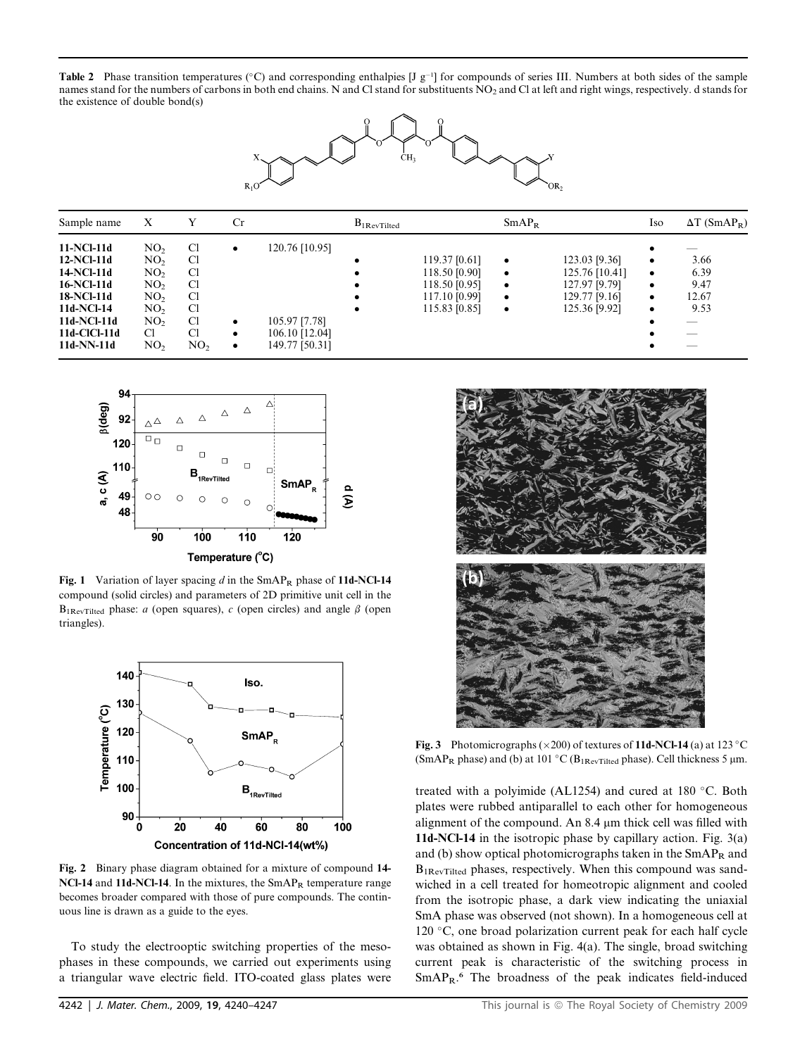Table 2 Phase transition temperatures ( $\degree$ C) and corresponding enthalpies [J g<sup>-1</sup>] for compounds of series III. Numbers at both sides of the sample names stand for the numbers of carbons in both end chains. N and Cl stand for substituents NO<sub>2</sub> and Cl at left and right wings, respectively. d stands for the existence of double bond(s)



| Sample name                                                                                                                   | X                                                                                                                                                          | Y                                                                           | Cr          |                                                                     | $B_{1RevTilted}$ |                                                                                   | SmAP <sub>B</sub>                                             |                                                                                    | Iso                                   | $\Delta T$ (SmAP <sub>R</sub> )                                                                                           |
|-------------------------------------------------------------------------------------------------------------------------------|------------------------------------------------------------------------------------------------------------------------------------------------------------|-----------------------------------------------------------------------------|-------------|---------------------------------------------------------------------|------------------|-----------------------------------------------------------------------------------|---------------------------------------------------------------|------------------------------------------------------------------------------------|---------------------------------------|---------------------------------------------------------------------------------------------------------------------------|
| 11-NCl-11d<br>12-NCl-11d<br>14-NCl-11d<br>16-NCl-11d<br>18-NCl-11d<br>11d-NCl-14<br>11d-NCl-11d<br>11d-ClCl-11d<br>11d-NN-11d | NO <sub>2</sub><br>NO <sub>2</sub><br>NO <sub>2</sub><br>NO <sub>2</sub><br>NO <sub>2</sub><br>NO <sub>2</sub><br>NO <sub>2</sub><br>C1<br>NO <sub>2</sub> | C <sub>1</sub><br>C1<br>C1<br>C1<br>C1<br>C1<br>C1<br>Cl<br>NO <sub>2</sub> | ٠<br>٠<br>٠ | 120.76 [10.95]<br>105.97 [7.78]<br>106.10 [12.04]<br>149.77 [50.31] | $\bullet$        | 119.37 [0.61]<br>118.50 [0.90]<br>118.50 [0.95]<br>117.10 [0.99]<br>115.83 [0.85] | $\bullet$<br>$\bullet$<br>$\bullet$<br>$\bullet$<br>$\bullet$ | 123.03 [9.36]<br>125.76 [10.41]<br>127.97 [9.79]<br>129.77 [9.16]<br>125.36 [9.92] | ٠<br>$\bullet$<br>٠<br>٠<br>$\bullet$ | 3.66<br>6.39<br>9.47<br>12.67<br>9.53<br>$\overline{\phantom{a}}$<br>$\overline{\phantom{a}}$<br>$\overline{\phantom{a}}$ |



Fig. 1 Variation of layer spacing  $d$  in the SmAP<sub>R</sub> phase of 11d-NCl-14 compound (solid circles) and parameters of 2D primitive unit cell in the  $B_{1\text{RevTilted}}$  phase: *a* (open squares), *c* (open circles) and angle  $\beta$  (open triangles).



Fig. 2 Binary phase diagram obtained for a mixture of compound 14- NCl-14 and 11d-NCl-14. In the mixtures, the  $SmAP_R$  temperature range becomes broader compared with those of pure compounds. The continuous line is drawn as a guide to the eyes.

To study the electrooptic switching properties of the mesophases in these compounds, we carried out experiments using a triangular wave electric field. ITO-coated glass plates were



Fig. 3 Photomicrographs ( $\times$ 200) of textures of 11d-NCl-14 (a) at 123 °C (SmAP<sub>R</sub> phase) and (b) at 101 °C ( $B_{1\text{RevTilted}}$  phase). Cell thickness 5  $\mu$ m.

treated with a polyimide (AL1254) and cured at  $180^{\circ}$ C. Both plates were rubbed antiparallel to each other for homogeneous alignment of the compound. An 8.4 µm thick cell was filled with 11d-NCl-14 in the isotropic phase by capillary action. Fig. 3(a) and (b) show optical photomicrographs taken in the  $SmAP<sub>R</sub>$  and B<sub>1RevTilted</sub> phases, respectively. When this compound was sandwiched in a cell treated for homeotropic alignment and cooled from the isotropic phase, a dark view indicating the uniaxial SmA phase was observed (not shown). In a homogeneous cell at 120  $\degree$ C, one broad polarization current peak for each half cycle was obtained as shown in Fig. 4(a). The single, broad switching current peak is characteristic of the switching process in SmAPR. <sup>6</sup> The broadness of the peak indicates field-induced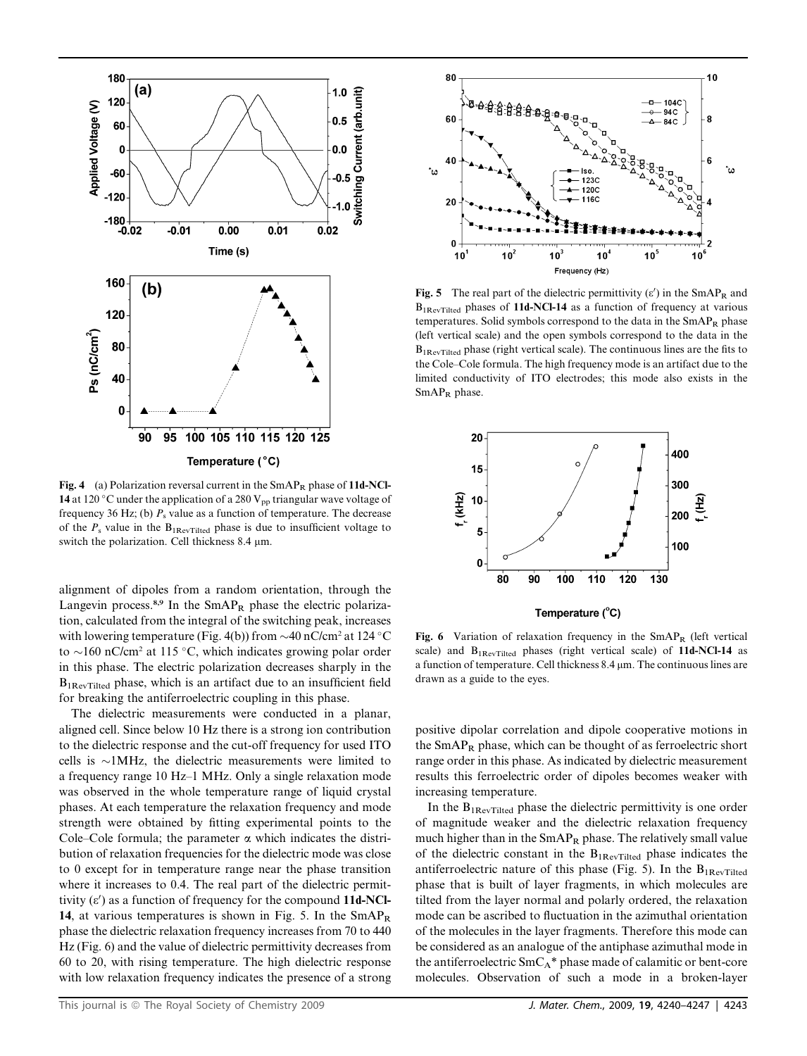

Fig. 4 (a) Polarization reversal current in the  $SmAP_R$  phase of 11d-NCl-14 at 120 °C under the application of a 280  $V_{pp}$  triangular wave voltage of frequency 36 Hz; (b)  $P_s$  value as a function of temperature. The decrease of the  $P_s$  value in the  $B_{1\text{Re}\nu\text{Tilted}}$  phase is due to insufficient voltage to switch the polarization. Cell thickness  $8.4 \mu m$ .

alignment of dipoles from a random orientation, through the Langevin process. $8.9$  In the SmAP<sub>R</sub> phase the electric polarization, calculated from the integral of the switching peak, increases with lowering temperature (Fig. 4(b)) from  $\sim$  40 nC/cm<sup>2</sup> at 124 °C to  $\sim$ 160 nC/cm<sup>2</sup> at 115 °C, which indicates growing polar order in this phase. The electric polarization decreases sharply in the B1RevTilted phase, which is an artifact due to an insufficient field for breaking the antiferroelectric coupling in this phase.

The dielectric measurements were conducted in a planar, aligned cell. Since below 10 Hz there is a strong ion contribution to the dielectric response and the cut-off frequency for used ITO cells is  $\sim$ 1MHz, the dielectric measurements were limited to a frequency range 10 Hz–1 MHz. Only a single relaxation mode was observed in the whole temperature range of liquid crystal phases. At each temperature the relaxation frequency and mode strength were obtained by fitting experimental points to the Cole–Cole formula; the parameter  $\alpha$  which indicates the distribution of relaxation frequencies for the dielectric mode was close to 0 except for in temperature range near the phase transition where it increases to 0.4. The real part of the dielectric permittivity  $(\varepsilon')$  as a function of frequency for the compound 11d-NCl-14, at various temperatures is shown in Fig. 5. In the  $SmAP<sub>R</sub>$ phase the dielectric relaxation frequency increases from 70 to 440 Hz (Fig. 6) and the value of dielectric permittivity decreases from 60 to 20, with rising temperature. The high dielectric response with low relaxation frequency indicates the presence of a strong



Fig. 5 The real part of the dielectric permittivity  $(\epsilon')$  in the SmAP<sub>R</sub> and B<sub>1RevTilted</sub> phases of 11d-NCl-14 as a function of frequency at various temperatures. Solid symbols correspond to the data in the  $SmAP_R$  phase (left vertical scale) and the open symbols correspond to the data in the B1RevTilted phase (right vertical scale). The continuous lines are the fits to the Cole–Cole formula. The high frequency mode is an artifact due to the limited conductivity of ITO electrodes; this mode also exists in the  $SmAP_R$  phase.



Fig. 6 Variation of relaxation frequency in the  $SmAP_R$  (left vertical scale) and  $B_{1\text{RevTilted}}$  phases (right vertical scale) of 11d-NCl-14 as a function of temperature. Cell thickness  $8.4 \,\mu m$ . The continuous lines are drawn as a guide to the eyes.

positive dipolar correlation and dipole cooperative motions in the  $SmAP_R$  phase, which can be thought of as ferroelectric short range order in this phase. As indicated by dielectric measurement results this ferroelectric order of dipoles becomes weaker with increasing temperature.

In the  $B_{1\text{RevTilted}}$  phase the dielectric permittivity is one order of magnitude weaker and the dielectric relaxation frequency much higher than in the  $SmAP_R$  phase. The relatively small value of the dielectric constant in the  $B_{1\text{RevTilted}}$  phase indicates the antiferroelectric nature of this phase (Fig. 5). In the  $B_{1\text{Re}\nu\text{Tilted}}$ phase that is built of layer fragments, in which molecules are tilted from the layer normal and polarly ordered, the relaxation mode can be ascribed to fluctuation in the azimuthal orientation of the molecules in the layer fragments. Therefore this mode can be considered as an analogue of the antiphase azimuthal mode in the antiferroelectric  $SmC_A^*$  phase made of calamitic or bent-core molecules. Observation of such a mode in a broken-layer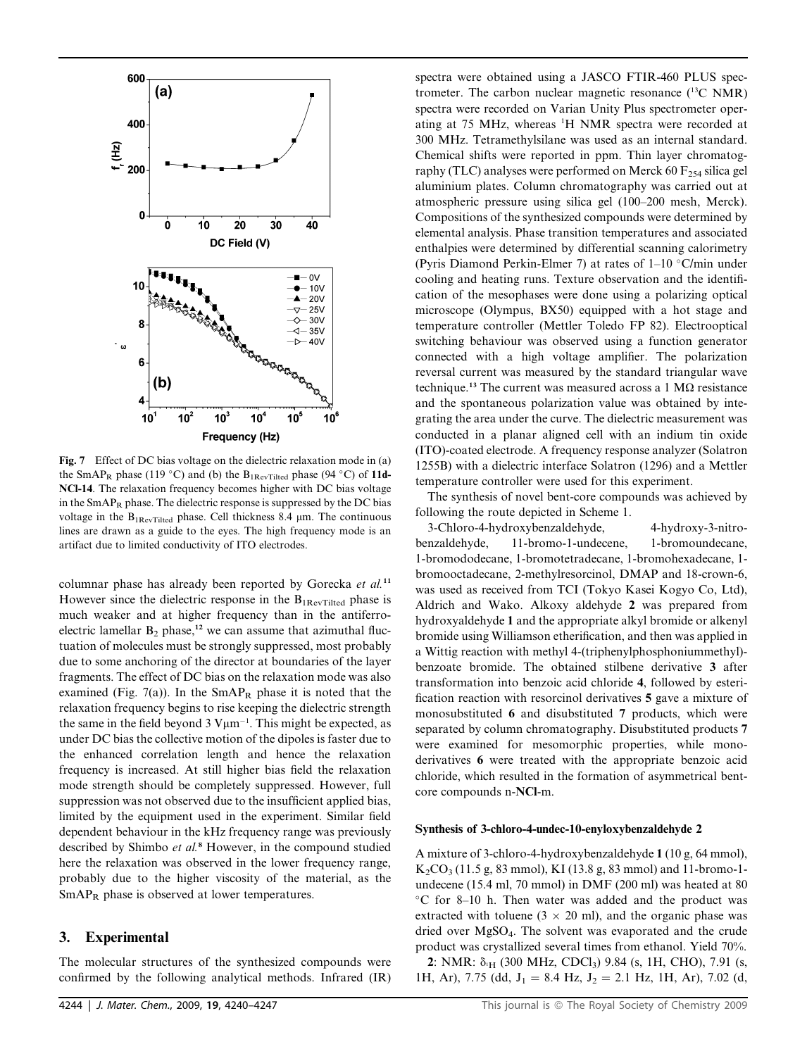

Fig. 7 Effect of DC bias voltage on the dielectric relaxation mode in (a) the SmAP<sub>R</sub> phase (119 °C) and (b) the B<sub>1RevTilted</sub> phase (94 °C) of 11d-NCl-14. The relaxation frequency becomes higher with DC bias voltage in the  $SmAP_R$  phase. The dielectric response is suppressed by the DC bias voltage in the  $B_{1\text{RevTilted}}$  phase. Cell thickness 8.4  $\mu$ m. The continuous lines are drawn as a guide to the eyes. The high frequency mode is an artifact due to limited conductivity of ITO electrodes.

columnar phase has already been reported by Gorecka et al.<sup>11</sup> However since the dielectric response in the  $B_{1\text{Re}\nu\text{Tilted}}$  phase is much weaker and at higher frequency than in the antiferroelectric lamellar  $B_2$  phase,<sup>12</sup> we can assume that azimuthal fluctuation of molecules must be strongly suppressed, most probably due to some anchoring of the director at boundaries of the layer fragments. The effect of DC bias on the relaxation mode was also examined (Fig. 7(a)). In the  $SmAP_R$  phase it is noted that the relaxation frequency begins to rise keeping the dielectric strength the same in the field beyond  $3 \text{ V} \mu \text{m}^{-1}$ . This might be expected, as under DC bias the collective motion of the dipoles is faster due to the enhanced correlation length and hence the relaxation frequency is increased. At still higher bias field the relaxation mode strength should be completely suppressed. However, full suppression was not observed due to the insufficient applied bias, limited by the equipment used in the experiment. Similar field dependent behaviour in the kHz frequency range was previously described by Shimbo et al.<sup>8</sup> However, in the compound studied here the relaxation was observed in the lower frequency range, probably due to the higher viscosity of the material, as the SmAP<sub>R</sub> phase is observed at lower temperatures.

#### 3. Experimental

The molecular structures of the synthesized compounds were confirmed by the following analytical methods. Infrared (IR) spectra were obtained using a JASCO FTIR-460 PLUS spectrometer. The carbon nuclear magnetic resonance (13C NMR) spectra were recorded on Varian Unity Plus spectrometer operating at 75 MHz, whereas <sup>1</sup>H NMR spectra were recorded at 300 MHz. Tetramethylsilane was used as an internal standard. Chemical shifts were reported in ppm. Thin layer chromatography (TLC) analyses were performed on Merck 60  $F_{254}$  silica gel aluminium plates. Column chromatography was carried out at atmospheric pressure using silica gel (100–200 mesh, Merck). Compositions of the synthesized compounds were determined by elemental analysis. Phase transition temperatures and associated enthalpies were determined by differential scanning calorimetry (Pyris Diamond Perkin-Elmer 7) at rates of  $1-10$  °C/min under cooling and heating runs. Texture observation and the identification of the mesophases were done using a polarizing optical microscope (Olympus, BX50) equipped with a hot stage and temperature controller (Mettler Toledo FP 82). Electrooptical switching behaviour was observed using a function generator connected with a high voltage amplifier. The polarization reversal current was measured by the standard triangular wave technique.<sup>13</sup> The current was measured across a 1  $\text{M}\Omega$  resistance and the spontaneous polarization value was obtained by integrating the area under the curve. The dielectric measurement was conducted in a planar aligned cell with an indium tin oxide (ITO)-coated electrode. A frequency response analyzer (Solatron 1255B) with a dielectric interface Solatron (1296) and a Mettler temperature controller were used for this experiment.

The synthesis of novel bent-core compounds was achieved by following the route depicted in Scheme 1.

3-Chloro-4-hydroxybenzaldehyde, 4-hydroxy-3-nitrobenzaldehyde, 11-bromo-1-undecene, 1-bromoundecane, 1-bromododecane, 1-bromotetradecane, 1-bromohexadecane, 1 bromooctadecane, 2-methylresorcinol, DMAP and 18-crown-6, was used as received from TCI (Tokyo Kasei Kogyo Co, Ltd), Aldrich and Wako. Alkoxy aldehyde 2 was prepared from hydroxyaldehyde 1 and the appropriate alkyl bromide or alkenyl bromide using Williamson etherification, and then was applied in a Wittig reaction with methyl 4-(triphenylphosphoniummethyl) benzoate bromide. The obtained stilbene derivative 3 after transformation into benzoic acid chloride 4, followed by esterification reaction with resorcinol derivatives 5 gave a mixture of monosubstituted 6 and disubstituted 7 products, which were separated by column chromatography. Disubstituted products 7 were examined for mesomorphic properties, while monoderivatives 6 were treated with the appropriate benzoic acid chloride, which resulted in the formation of asymmetrical bentcore compounds n-NCl-m.

#### Synthesis of 3-chloro-4-undec-10-enyloxybenzaldehyde 2

A mixture of 3-chloro-4-hydroxybenzaldehyde 1 (10 g, 64 mmol), K2CO3 (11.5 g, 83 mmol), KI (13.8 g, 83 mmol) and 11-bromo-1 undecene (15.4 ml, 70 mmol) in DMF (200 ml) was heated at 80 C for 8–10 h. Then water was added and the product was extracted with toluene ( $3 \times 20$  ml), and the organic phase was dried over MgSO4. The solvent was evaporated and the crude product was crystallized several times from ethanol. Yield 70%. 2: NMR: δ<sub>'H</sub> (300 MHz, CDCl<sub>3</sub>) 9.84 (s, 1H, CHO), 7.91 (s, 1H, Ar), 7.75 (dd,  $J_1 = 8.4$  Hz,  $J_2 = 2.1$  Hz, 1H, Ar), 7.02 (d,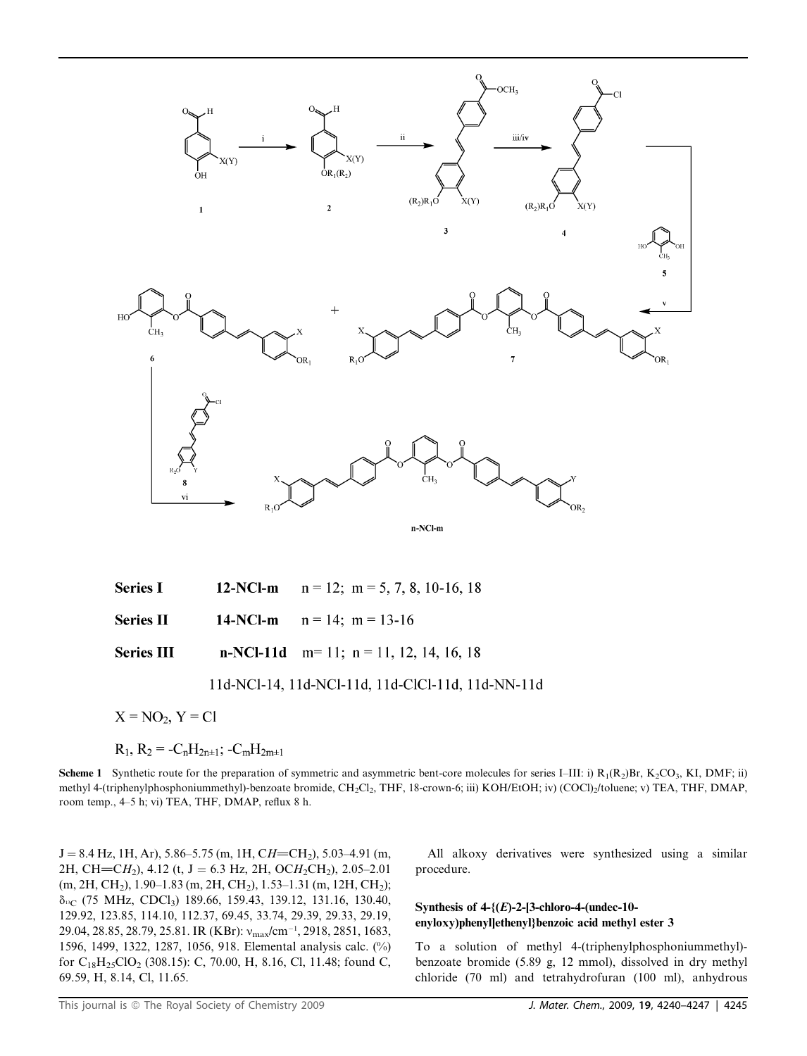

| <b>Series I</b>   | 12-NCl-m $n = 12$ ; $m = 5, 7, 8, 10-16, 18$   |
|-------------------|------------------------------------------------|
| Series $\Pi$      | 14-NCl-m $n = 14$ ; $m = 13-16$                |
| <b>Series III</b> | <b>n-NCl-11d</b> m= 11; n = 11, 12, 14, 16, 18 |

## 11d-NCl-14, 11d-NCl-11d, 11d-ClCl-11d, 11d-NN-11d

 $X = NO<sub>2</sub>, Y = Cl$ 

$$
R_1, R_2 = -C_nH_{2n\pm 1}; -C_mH_{2m\pm 1}
$$

**Scheme 1** Synthetic route for the preparation of symmetric and asymmetric bent-core molecules for series I–III: i)  $R_1(R_2)Br$ ,  $K_2CO_3$ , KI, DMF; ii) methyl 4-(triphenylphosphoniummethyl)-benzoate bromide, CH<sub>2</sub>Cl<sub>2</sub>, THF, 18-crown-6; iii) KOH/EtOH; iv) (COCl)<sub>2</sub>/toluene; v) TEA, THF, DMAP, room temp., 4–5 h; vi) TEA, THF, DMAP, reflux 8 h.

 $J = 8.4$  Hz, 1H, Ar), 5.86–5.75 (m, 1H, CH=CH<sub>2</sub>), 5.03–4.91 (m, 2H, CH=CH<sub>2</sub>), 4.12 (t, J = 6.3 Hz, 2H, OCH<sub>2</sub>CH<sub>2</sub>), 2.05–2.01  $(m, 2H, CH<sub>2</sub>), 1.90-1.83 (m, 2H, CH<sub>2</sub>), 1.53-1.31 (m, 12H, CH<sub>2</sub>);$ d13C (75 MHz, CDCl3) 189.66, 159.43, 139.12, 131.16, 130.40, 129.92, 123.85, 114.10, 112.37, 69.45, 33.74, 29.39, 29.33, 29.19, 29.04, 28.85, 28.79, 25.81. IR (KBr):  $v_{\text{max}} / \text{cm}^{-1}$ , 2918, 2851, 1683, 1596, 1499, 1322, 1287, 1056, 918. Elemental analysis calc. (%) for C<sub>18</sub>H<sub>25</sub>ClO<sub>2</sub> (308.15): C, 70.00, H, 8.16, Cl, 11.48; found C, 69.59, H, 8.14, Cl, 11.65.

All alkoxy derivatives were synthesized using a similar procedure.

#### Synthesis of  $4-\{(E)-2-[3\text{-chloro-4-(undec-10-})\}$ enyloxy)phenyl]ethenyl}benzoic acid methyl ester 3

To a solution of methyl 4-(triphenylphosphoniummethyl) benzoate bromide (5.89 g, 12 mmol), dissolved in dry methyl chloride (70 ml) and tetrahydrofuran (100 ml), anhydrous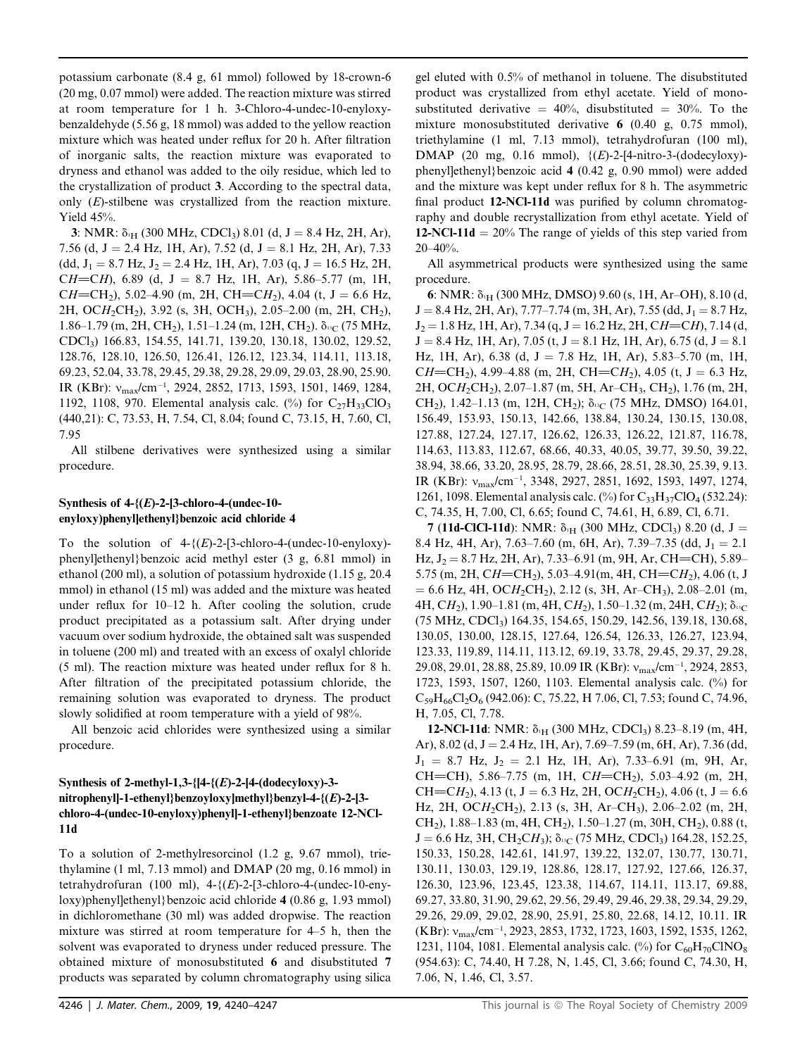potassium carbonate (8.4 g, 61 mmol) followed by 18-crown-6 (20 mg, 0.07 mmol) were added. The reaction mixture was stirred at room temperature for 1 h. 3-Chloro-4-undec-10-enyloxybenzaldehyde (5.56 g, 18 mmol) was added to the yellow reaction mixture which was heated under reflux for 20 h. After filtration of inorganic salts, the reaction mixture was evaporated to dryness and ethanol was added to the oily residue, which led to the crystallization of product 3. According to the spectral data, only (E)-stilbene was crystallized from the reaction mixture. Yield 45%.

3: NMR:  $\delta_{\text{H}}$  (300 MHz, CDCl<sub>3</sub>) 8.01 (d, J = 8.4 Hz, 2H, Ar), 7.56 (d, J = 2.4 Hz, 1H, Ar), 7.52 (d, J = 8.1 Hz, 2H, Ar), 7.33  $(dd, J_1 = 8.7 \text{ Hz}, J_2 = 2.4 \text{ Hz}, 1H, Ar$ ), 7.03 (q, J = 16.5 Hz, 2H, CH=CH), 6.89 (d, J = 8.7 Hz, 1H, Ar), 5.86–5.77 (m, 1H, CH=CH<sub>2</sub>), 5.02–4.90 (m, 2H, CH=CH<sub>2</sub>), 4.04 (t, J = 6.6 Hz, 2H, OCH2CH2), 3.92 (s, 3H, OCH3), 2.05–2.00 (m, 2H, CH2), 1.86–1.79 (m, 2H, CH<sub>2</sub>), 1.51–1.24 (m, 12H, CH<sub>2</sub>).  $\delta_{\text{B}C}$  (75 MHz, CDCl3) 166.83, 154.55, 141.71, 139.20, 130.18, 130.02, 129.52, 128.76, 128.10, 126.50, 126.41, 126.12, 123.34, 114.11, 113.18, 69.23, 52.04, 33.78, 29.45, 29.38, 29.28, 29.09, 29.03, 28.90, 25.90. IR (KBr):  $v_{\text{max}}/cm^{-1}$ , 2924, 2852, 1713, 1593, 1501, 1469, 1284, 1192, 1108, 970. Elemental analysis calc. (%) for  $C_{27}H_{33}ClO_3$ (440,21): C, 73.53, H, 7.54, Cl, 8.04; found C, 73.15, H, 7.60, Cl, 7.95

All stilbene derivatives were synthesized using a similar procedure.

#### Synthesis of  $4-(E)-2-[3-chloro-4-(undec-10$ enyloxy)phenyl]ethenyl}benzoic acid chloride 4

To the solution of  $4-\{(E)-2-[3\text{-chloro-4-(undec-10-enyloxy)}\}$ phenyl]ethenyl}benzoic acid methyl ester (3 g, 6.81 mmol) in ethanol (200 ml), a solution of potassium hydroxide (1.15 g, 20.4 mmol) in ethanol (15 ml) was added and the mixture was heated under reflux for 10–12 h. After cooling the solution, crude product precipitated as a potassium salt. After drying under vacuum over sodium hydroxide, the obtained salt was suspended in toluene (200 ml) and treated with an excess of oxalyl chloride (5 ml). The reaction mixture was heated under reflux for 8 h. After filtration of the precipitated potassium chloride, the remaining solution was evaporated to dryness. The product slowly solidified at room temperature with a yield of 98%.

All benzoic acid chlorides were synthesized using a similar procedure.

### Synthesis of 2-methyl-1,3- $[4-(E)-2-[4-(dodecylov)-3$ nitrophenyl]-1-ethenyl}benzoyloxy]methyl}benzyl-4-{(E)-2-[3 chloro-4-(undec-10-enyloxy)phenyl]-1-ethenyl}benzoate 12-NCl-11d

To a solution of 2-methylresorcinol (1.2 g, 9.67 mmol), triethylamine (1 ml, 7.13 mmol) and DMAP (20 mg, 0.16 mmol) in tetrahydrofuran (100 ml),  $4-\{(E)-2-[3-chloro-4-(undec-10-eny$ loxy)phenyl]ethenyl}benzoic acid chloride 4 (0.86 g, 1.93 mmol) in dichloromethane (30 ml) was added dropwise. The reaction mixture was stirred at room temperature for 4–5 h, then the solvent was evaporated to dryness under reduced pressure. The obtained mixture of monosubstituted 6 and disubstituted 7 products was separated by column chromatography using silica

gel eluted with 0.5% of methanol in toluene. The disubstituted product was crystallized from ethyl acetate. Yield of monosubstituted derivative  $= 40\%$ , disubstituted  $= 30\%$ . To the mixture monosubstituted derivative 6 (0.40 g, 0.75 mmol), triethylamine (1 ml, 7.13 mmol), tetrahydrofuran (100 ml), DMAP (20 mg, 0.16 mmol),  $\{(E)$ -2-[4-nitro-3-(dodecyloxy)phenyl]ethenyl}benzoic acid 4 (0.42 g, 0.90 mmol) were added and the mixture was kept under reflux for 8 h. The asymmetric final product 12-NCl-11d was purified by column chromatography and double recrystallization from ethyl acetate. Yield of 12-NCl-11d  $= 20\%$  The range of yields of this step varied from 20–40%.

All asymmetrical products were synthesized using the same procedure.

6: NMR:  $\delta_{1H}$  (300 MHz, DMSO) 9.60 (s, 1H, Ar–OH), 8.10 (d,  $J = 8.4$  Hz, 2H, Ar), 7.77–7.74 (m, 3H, Ar), 7.55 (dd,  $J_1 = 8.7$  Hz,  $J_2 = 1.8$  Hz, 1H, Ar), 7.34 (q, J = 16.2 Hz, 2H, CH=CH), 7.14 (d,  $J = 8.4$  Hz, 1H, Ar), 7.05 (t,  $J = 8.1$  Hz, 1H, Ar), 6.75 (d,  $J = 8.1$ Hz, 1H, Ar), 6.38 (d, J = 7.8 Hz, 1H, Ar), 5.83–5.70 (m, 1H, CH=CH<sub>2</sub>), 4.99–4.88 (m, 2H, CH=CH<sub>2</sub>), 4.05 (t, J = 6.3 Hz, 2H, OCH2CH2), 2.07–1.87 (m, 5H, Ar–CH3, CH2), 1.76 (m, 2H, CH<sub>2</sub>), 1.42–1.13 (m, 12H, CH<sub>2</sub>);  $\delta_{^{13}C}$  (75 MHz, DMSO) 164.01, 156.49, 153.93, 150.13, 142.66, 138.84, 130.24, 130.15, 130.08, 127.88, 127.24, 127.17, 126.62, 126.33, 126.22, 121.87, 116.78, 114.63, 113.83, 112.67, 68.66, 40.33, 40.05, 39.77, 39.50, 39.22, 38.94, 38.66, 33.20, 28.95, 28.79, 28.66, 28.51, 28.30, 25.39, 9.13. IR (KBr):  $v_{\text{max}}/cm^{-1}$ , 3348, 2927, 2851, 1692, 1593, 1497, 1274, 1261, 1098. Elemental analysis calc. (%) for  $C_{33}H_{37}ClO_4$  (532.24): C, 74.35, H, 7.00, Cl, 6.65; found C, 74.61, H, 6.89, Cl, 6.71.

7 (11d-ClCl-11d): NMR:  $\delta_{\text{H}}$  (300 MHz, CDCl<sub>3</sub>) 8.20 (d, J = 8.4 Hz, 4H, Ar), 7.63–7.60 (m, 6H, Ar), 7.39–7.35 (dd,  $J_1 = 2.1$ Hz,  $J_2 = 8.7$  Hz, 2H, Ar), 7.33–6.91 (m, 9H, Ar, CH=CH), 5.89– 5.75 (m, 2H, CH=CH<sub>2</sub>), 5.03–4.91(m, 4H, CH=CH<sub>2</sub>), 4.06 (t, J  $= 6.6$  Hz, 4H, OCH<sub>2</sub>CH<sub>2</sub>), 2.12 (s, 3H, Ar–CH<sub>3</sub>), 2.08–2.01 (m, 4H, CH<sub>2</sub>), 1.90–1.81 (m, 4H, CH<sub>2</sub>), 1.50–1.32 (m, 24H, CH<sub>2</sub>);  $\delta_{^{13}C}$ (75 MHz, CDCl3) 164.35, 154.65, 150.29, 142.56, 139.18, 130.68, 130.05, 130.00, 128.15, 127.64, 126.54, 126.33, 126.27, 123.94, 123.33, 119.89, 114.11, 113.12, 69.19, 33.78, 29.45, 29.37, 29.28, 29.08, 29.01, 28.88, 25.89, 10.09 IR (KBr):  $v_{\text{max}}/cm^{-1}$ , 2924, 2853, 1723, 1593, 1507, 1260, 1103. Elemental analysis calc. (%) for  $C_{59}H_{66}Cl_2O_6$  (942.06): C, 75.22, H 7.06, Cl, 7.53; found C, 74.96, H, 7.05, Cl, 7.78.

12-NCl-11d: NMR: δ<sub>1H</sub> (300 MHz, CDCl<sub>3</sub>) 8.23-8.19 (m, 4H, Ar),  $8.02$  (d,  $J = 2.4$  Hz, 1H, Ar),  $7.69 - 7.59$  (m, 6H, Ar),  $7.36$  (dd,  $J_1 = 8.7$  Hz,  $J_2 = 2.1$  Hz, 1H, Ar), 7.33–6.91 (m, 9H, Ar, CH=CH), 5.86–7.75 (m, 1H, CH=CH<sub>2</sub>), 5.03–4.92 (m, 2H, CH=CH<sub>2</sub>), 4.13 (t, J = 6.3 Hz, 2H, OCH<sub>2</sub>CH<sub>2</sub>), 4.06 (t, J = 6.6 Hz, 2H, OCH2CH2), 2.13 (s, 3H, Ar–CH3), 2.06–2.02 (m, 2H, CH<sub>2</sub>), 1.88–1.83 (m, 4H, CH<sub>2</sub>), 1.50–1.27 (m, 30H, CH<sub>2</sub>), 0.88 (t,  $J = 6.6$  Hz, 3H, CH<sub>2</sub>CH<sub>3</sub>);  $\delta_{13}C$  (75 MHz, CDCl<sub>3</sub>) 164.28, 152.25, 150.33, 150.28, 142.61, 141.97, 139.22, 132.07, 130.77, 130.71, 130.11, 130.03, 129.19, 128.86, 128.17, 127.92, 127.66, 126.37, 126.30, 123.96, 123.45, 123.38, 114.67, 114.11, 113.17, 69.88, 69.27, 33.80, 31.90, 29.62, 29.56, 29.49, 29.46, 29.38, 29.34, 29.29, 29.26, 29.09, 29.02, 28.90, 25.91, 25.80, 22.68, 14.12, 10.11. IR (KBr):  $v_{\text{max}}/cm^{-1}$ , 2923, 2853, 1732, 1723, 1603, 1592, 1535, 1262, 1231, 1104, 1081. Elemental analysis calc. (%) for  $C_{60}H_{70}CINO_8$ (954.63): C, 74.40, H 7.28, N, 1.45, Cl, 3.66; found C, 74.30, H, 7.06, N, 1.46, Cl, 3.57.